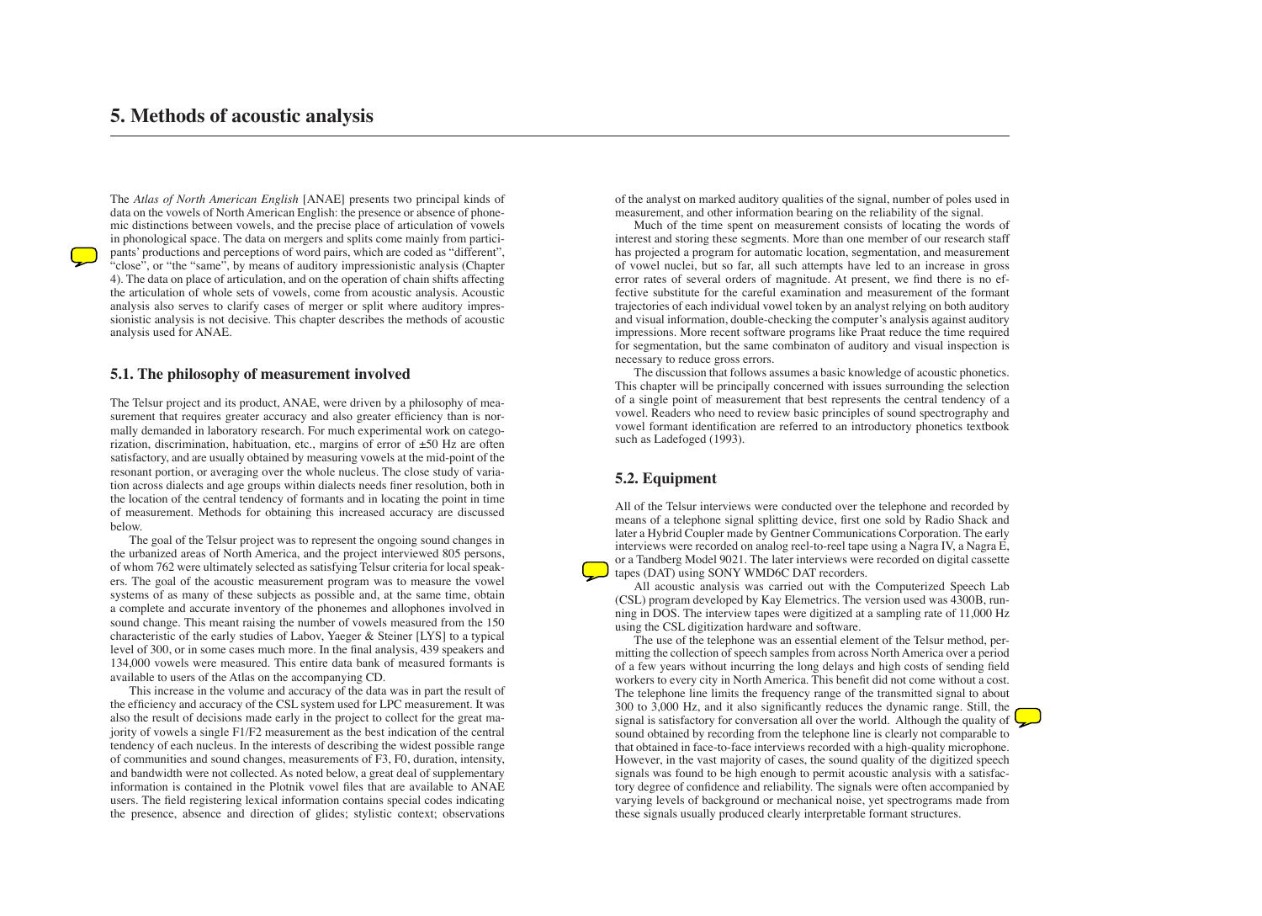The *Atlas of North American English* [ANAE] presents two principal kinds of data on the vowels of North American English: the presence or absence of phonemic distinctions between vowels, and the precise place of articulation of vowels in phonological space. The data on mergers and splits come mainly from participants' productions and perceptions of word pairs, which are coded as "different", "close", or "the "same", by means of auditory impressionistic analysis (Chapter 4). The data on place of articulation, and on the operation of chain shifts affecting the articulation of whole sets of vowels, come from acoustic analysis. Acoustic analysis also serves to clarify cases of merger or split where auditory impressionistic analysis is not decisive. This chapter describes the methods of acoustic analysis used for ANAE.

# **5.1. The philosophy of measurement involved**

The Telsur project and its product, ANAE, were driven by a philosophy of measurement that requires greater accuracy and also greater efficiency than is normally demanded in laboratory research. For much experimental work on categorization, discrimination, habituation, etc., margins of error of ±50 Hz are often satisfactory, and are usually obtained by measuring vowels at the mid-point of the resonant portion, or averaging over the whole nucleus. The close study of variation across dialects and age groups within dialects needs finer resolution, both in the location of the central tendency of formants and in locating the point in time of measurement. Methods for obtaining this increased accuracy are discussed below.

The goal of the Telsur project was to represent the ongoing sound changes in the urbanized areas of North America, and the project interviewed 805 persons, of whom 762 were ultimately selected as satisfying Telsur criteria for local speakers. The goal of the acoustic measurement program was to measure the vowel systems of as many of these subjects as possible and, at the same time, obtain a complete and accurate inventory of the phonemes and allophones involved in sound change. This meant raising the number of vowels measured from the 150 characteristic of the early studies of Labov, Yaeger & Steiner [LYS] to a typical level of 300, or in some cases much more. In the final analysis, 439 speakers and 134,000 vowels were measured. This entire data bank of measured formants is available to users of the Atlas on the accompanying CD.

This increase in the volume and accuracy of the data was in part the result of the efficiency and accuracy of the CSL system used for LPC measurement. It was also the result of decisions made early in the project to collect for the great majority of vowels a single F1/F2 measurement as the best indication of the central tendency of each nucleus. In the interests of describing the widest possible range of communities and sound changes, measurements of F3, F0, duration, intensity, and bandwidth were not collected. As noted below, a great deal of supplementary information is contained in the Plotnik vowel files that are available to ANAE users. The field registering lexical information contains special codes indicating the presence, absence and direction of glides; stylistic context; observations

of the analyst on marked auditory qualities of the signal, number of poles used in measurement, and other information bearing on the reliability of the signal.

Much of the time spent on measurement consists of locating the words of interest and storing these segments. More than one member of our research staff has projected a program for automatic location, segmentation, and measurement of vowel nuclei, but so far, all such attempts have led to an increase in gross error rates of several orders of magnitude. At present, we find there is no effective substitute for the careful examination and measurement of the formant trajectories of each individual vowel token by an analyst relying on both auditory and visual information, double-checking the computer's analysis against auditory impressions. More recent software programs like Praat reduce the time required for segmentation, but the same combinaton of auditory and visual inspection is necessary to reduce gross errors.

The discussion that follows assumes a basic knowledge of acoustic phonetics. This chapter will be principally concerned with issues surrounding the selection of a single point of measurement that best represents the central tendency of a vowel. Readers who need to review basic principles of sound spectrography and vowel formant identification are referred to an introductory phonetics textbook such as Ladefoged (1993).

# **5.2. Equipment**

All of the Telsur interviews were conducted over the telephone and recorded by means of a telephone signal splitting device, first one sold by Radio Shack and later a Hybrid Coupler made by Gentner Communications Corporation. The early interviews were recorded on analog reel-to-reel tape using a Nagra IV, a Nagra E, or a Tandberg Model 9021. The later interviews were recorded on digital cassette tapes (DAT) using SONY WMD6C DAT recorders.

All acoustic analysis was carried out with the Computerized Speech Lab (CSL) program developed by Kay Elemetrics. The version used was 4300B, running in DOS. The interview tapes were digitized at a sampling rate of 11,000 Hz using the CSL digitization hardware and software.

The use of the telephone was an essential element of the Telsur method, permitting the collection of speech samples from across North America over a period of a few years without incurring the long delays and high costs of sending field workers to every city in North America. This benefit did not come without a cost. The telephone line limits the frequency range of the transmitted signal to about 300 to 3,000 Hz, and it also significantly reduces the dynamic range. Still, the signal is satisfactory for conversation all over the world. Although the quality of sound obtained by recording from the telephone line is clearly not comparable to that obtained in face-to-face interviews recorded with a high-quality microphone. However, in the vast majority of cases, the sound quality of the digitized speech signals was found to be high enough to permit acoustic analysis with a satisfactory degree of confidence and reliability. The signals were often accompanied by varying levels of background or mechanical noise, yet spectrograms made from these signals usually produced clearly interpretable formant structures.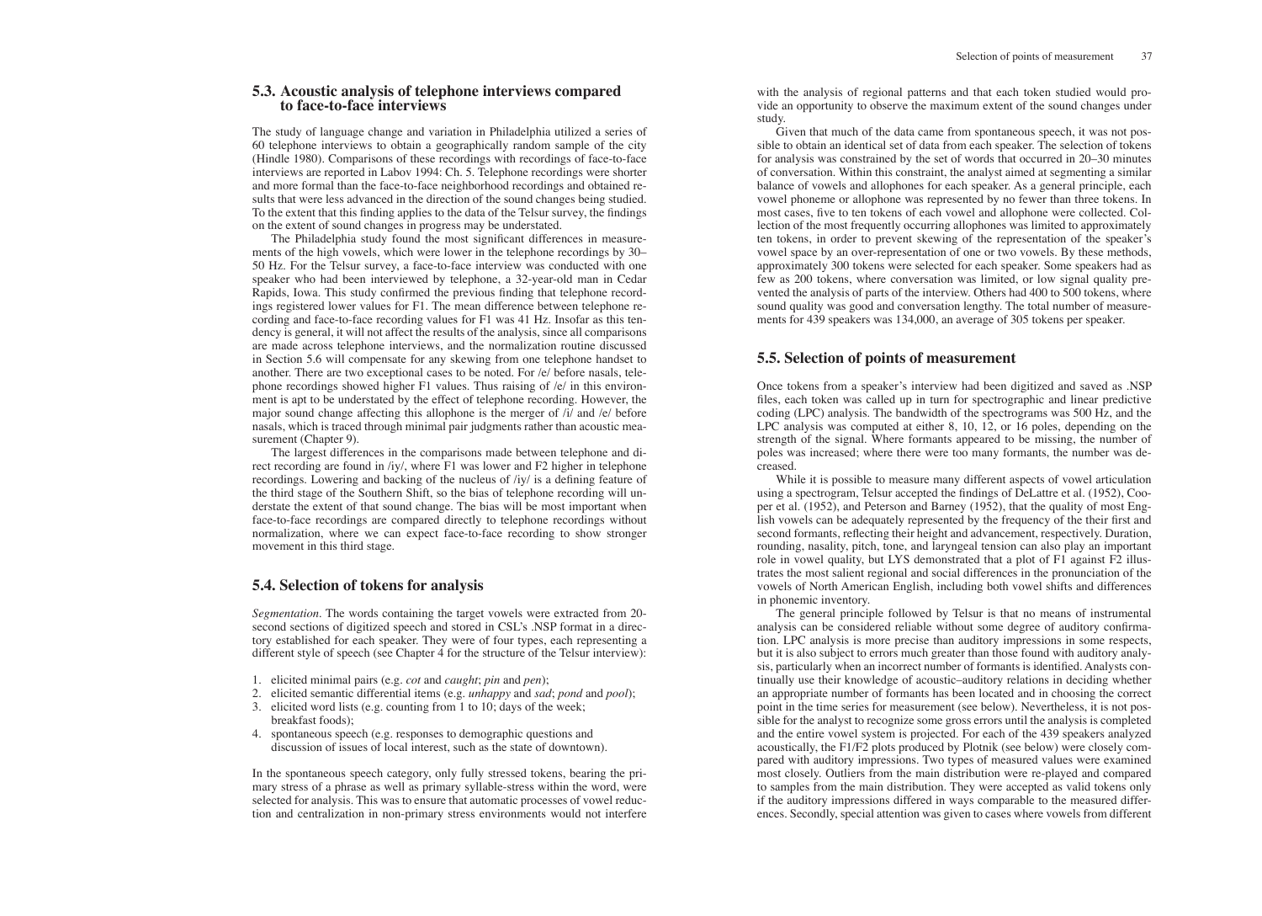#### **5.3. Acoustic analysis of telephone interviews compared to face-to-face interviews**

The Philadelphia study found the most significant differences in measurements of the high vowels, which were lower in the telephone recordings by 30– 50 Hz. For the Telsur survey, a face-to-face interview was conducted with one speaker who had been interviewed by telephone, a 32-year-old man in Cedar Rapids, Iowa. This study confirmed the previous finding that telephone recordings registered lower values for F1. The mean difference between telephone recording and face-to-face recording values for F1 was 41 Hz. Insofar as this tendency is general, it will not affect the results of the analysis, since all comparisons are made across telephone interviews, and the normalization routine discussed in Section 5.6 will compensate for any skewing from one telephone handset to another. There are two exceptional cases to be noted. For /e/ before nasals, telephone recordings showed higher F1 values. Thus raising of  $/e/$  in this environment is apt to be understated by the effect of telephone recording. However, the major sound change affecting this allophone is the merger of  $/i/$  and  $/e/$  before nasals, which is traced through minimal pair judgments rather than acoustic measurement (Chapter 9).

The study of language change and variation in Philadelphia utilized a series of 60 telephone interviews to obtain a geographically random sample of the city (Hindle 1980). Comparisons of these recordings with recordings of face-to-face interviews are reported in Labov 1994: Ch. 5. Telephone recordings were shorter and more formal than the face-to-face neighborhood recordings and obtained results that were less advanced in the direction of the sound changes being studied. To the extent that this finding applies to the data of the Telsur survey, the findings on the extent of sound changes in progress may be understated.

The largest differences in the comparisons made between telephone and direct recording are found in /iy/, where F1 was lower and F2 higher in telephone recordings. Lowering and backing of the nucleus of /iy/ is a defining feature of the third stage of the Southern Shift, so the bias of telephone recording will understate the extent of that sound change. The bias will be most important when face-to-face recordings are compared directly to telephone recordings without normalization, where we can expect face-to-face recording to show stronger movement in this third stage.

#### **5.4. Selection of tokens for analysis**

*Segmentation*. The words containing the target vowels were extracted from 20 second sections of digitized speech and stored in CSL's .NSP format in a directory established for each speaker. They were of four types, each representing a different style of speech (see Chapter 4 for the structure of the Telsur interview):

- 1. elicited minimal pairs (e.g. *cot* and *caught*; *pin* and *pen*);
- 2. elicited semantic differential items (e.g. *unhappy* and *sad*; *pond* and *pool*);
- 3. elicited word lists (e.g. counting from 1 to 10; days of the week; breakfast foods);
- 4. spontaneous speech (e.g. responses to demographic questions and discussion of issues of local interest, such as the state of downtown).

In the spontaneous speech category, only fully stressed tokens, bearing the primary stress of a phrase as well as primary syllable-stress within the word, were selected for analysis. This was to ensure that automatic processes of vowel reduction and centralization in non-primary stress environments would not interfere with the analysis of regional patterns and that each token studied would provide an opportunity to observe the maximum extent of the sound changes under study.

Given that much of the data came from spontaneous speech, it was not possible to obtain an identical set of data from each speaker. The selection of tokens for analysis was constrained by the set of words that occurred in 20–30 minutes of conversation. Within this constraint, the analyst aimed at segmenting a similar balance of vowels and allophones for each speaker. As a general principle, each vowel phoneme or allophone was represented by no fewer than three tokens. In most cases, five to ten tokens of each vowel and allophone were collected. Collection of the most frequently occurring allophones was limited to approximately ten tokens, in order to prevent skewing of the representation of the speaker's vowel space by an over-representation of one or two vowels. By these methods, approximately 300 tokens were selected for each speaker. Some speakers had as few as 200 tokens, where conversation was limited, or low signal quality prevented the analysis of parts of the interview. Others had 400 to 500 tokens, where sound quality was good and conversation lengthy. The total number of measurements for 439 speakers was 134,000, an average of 305 tokens per speaker.

### **5.5. Selection of points of measurement**

Once tokens from a speaker's interview had been digitized and saved as .NSP files, each token was called up in turn for spectrographic and linear predictive coding (LPC) analysis. The bandwidth of the spectrograms was 500 Hz, and the LPC analysis was computed at either 8, 10, 12, or 16 poles, depending on the strength of the signal. Where formants appeared to be missing, the number of poles was increased; where there were too many formants, the number was decreased.

While it is possible to measure many different aspects of vowel articulation using a spectrogram, Telsur accepted the findings of DeLattre et al. (1952), Cooper et al. (1952), and Peterson and Barney (1952), that the quality of most English vowels can be adequately represented by the frequency of the their first and second formants, reflecting their height and advancement, respectively. Duration, rounding, nasality, pitch, tone, and laryngeal tension can also play an important role in vowel quality, but LYS demonstrated that a plot of F1 against F2 illustrates the most salient regional and social differences in the pronunciation of the vowels of North American English, including both vowel shifts and differences in phonemic inventory.

The general principle followed by Telsur is that no means of instrumental analysis can be considered reliable without some degree of auditory confirmation. LPC analysis is more precise than auditory impressions in some respects, but it is also subject to errors much greater than those found with auditory analysis, particularly when an incorrect number of formants is identified. Analysts continually use their knowledge of acoustic–auditory relations in deciding whether an appropriate number of formants has been located and in choosing the correct point in the time series for measurement (see below). Nevertheless, it is not possible for the analyst to recognize some gross errors until the analysis is completed and the entire vowel system is projected. For each of the 439 speakers analyzed acoustically, the F1/F2 plots produced by Plotnik (see below) were closely compared with auditory impressions. Two types of measured values were examined most closely. Outliers from the main distribution were re-played and compared to samples from the main distribution. They were accepted as valid tokens only if the auditory impressions differed in ways comparable to the measured differences. Secondly, special attention was given to cases where vowels from different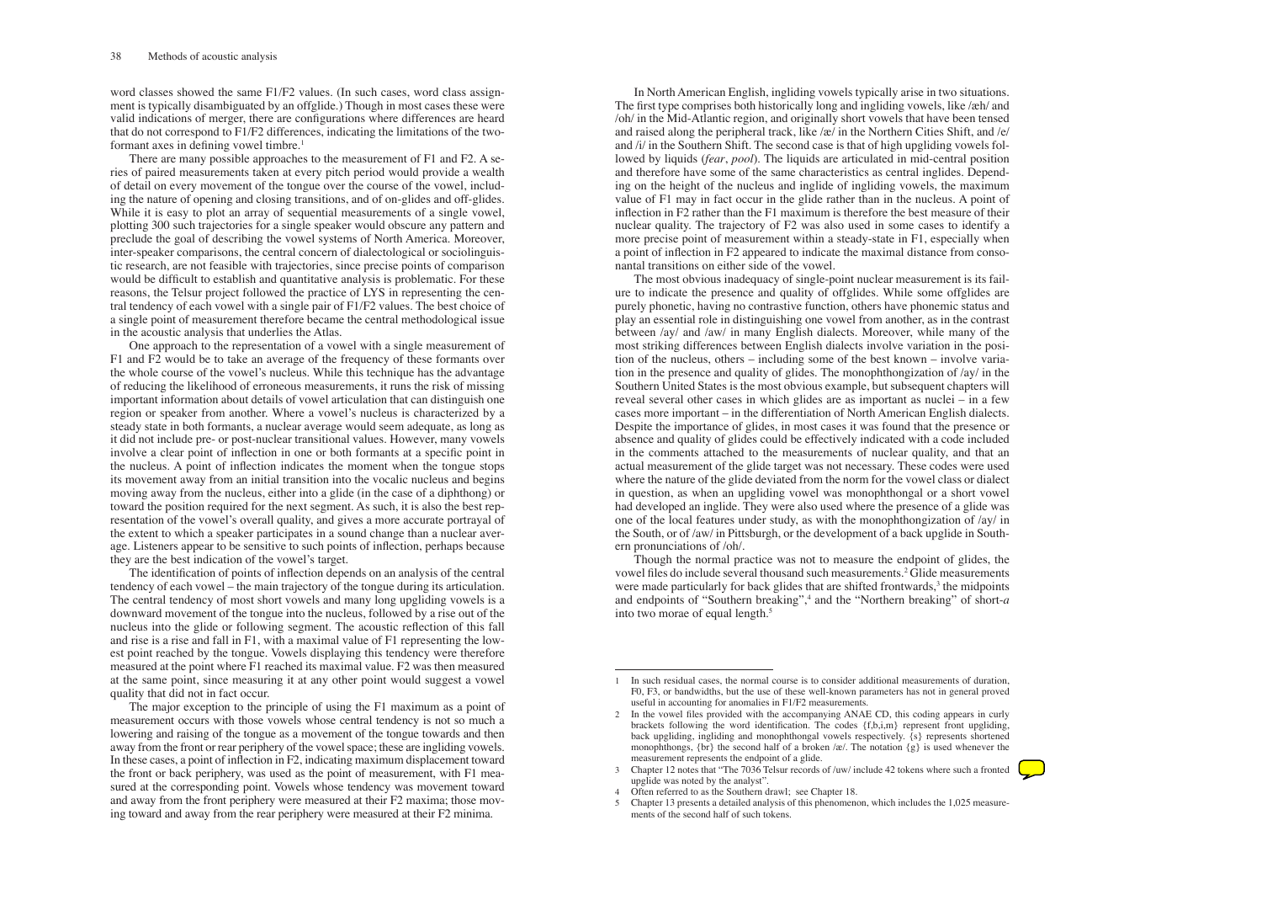word classes showed the same F1/F2 values. (In such cases, word class assignment is typically disambiguated by an offglide.) Though in most cases these were valid indications of merger, there are configurations where differences are heard that do not correspond to F1/F2 differences, indicating the limitations of the twoformant axes in defining vowel timbre.<sup>1</sup>

There are many possible approaches to the measurement of F1 and F2. A series of paired measurements taken at every pitch period would provide a wealth of detail on every movement of the tongue over the course of the vowel, including the nature of opening and closing transitions, and of on-glides and off-glides. While it is easy to plot an array of sequential measurements of a single vowel, plotting 300 such trajectories for a single speaker would obscure any pattern and preclude the goal of describing the vowel systems of North America. Moreover, inter-speaker comparisons, the central concern of dialectological or sociolinguistic research, are not feasible with trajectories, since precise points of comparison would be difficult to establish and quantitative analysis is problematic. For these reasons, the Telsur project followed the practice of LYS in representing the central tendency of each vowel with a single pair of F1/F2 values. The best choice of a single point of measurement therefore became the central methodological issue in the acoustic analysis that underlies the Atlas.

One approach to the representation of a vowel with a single measurement of F1 and F2 would be to take an average of the frequency of these formants over the whole course of the vowel's nucleus. While this technique has the advantage of reducing the likelihood of erroneous measurements, it runs the risk of missing important information about details of vowel articulation that can distinguish one region or speaker from another. Where a vowel's nucleus is characterized by a steady state in both formants, a nuclear average would seem adequate, as long as it did not include pre- or post-nuclear transitional values. However, many vowels involve a clear point of inflection in one or both formants at a specific point in the nucleus. A point of inflection indicates the moment when the tongue stops its movement away from an initial transition into the vocalic nucleus and begins moving away from the nucleus, either into a glide (in the case of a diphthong) or toward the position required for the next segment. As such, it is also the best representation of the vowel's overall quality, and gives a more accurate portrayal of the extent to which a speaker participates in a sound change than a nuclear average. Listeners appear to be sensitive to such points of inflection, perhaps because they are the best indication of the vowel's target.

The identification of points of inflection depends on an analysis of the central tendency of each vowel – the main trajectory of the tongue during its articulation. The central tendency of most short vowels and many long upgliding vowels is a downward movement of the tongue into the nucleus, followed by a rise out of the nucleus into the glide or following segment. The acoustic reflection of this fall and rise is a rise and fall in F1, with a maximal value of F1 representing the lowest point reached by the tongue. Vowels displaying this tendency were therefore measured at the point where F1 reached its maximal value. F2 was then measured at the same point, since measuring it at any other point would suggest a vowel quality that did not in fact occur.

The major exception to the principle of using the F1 maximum as a point of measurement occurs with those vowels whose central tendency is not so much a lowering and raising of the tongue as a movement of the tongue towards and then away from the front or rear periphery of the vowel space; these are ingliding vowels. In these cases, a point of inflection in F2, indicating maximum displacement toward the front or back periphery, was used as the point of measurement, with F1 measured at the corresponding point. Vowels whose tendency was movement toward and away from the front periphery were measured at their F2 maxima; those moving toward and away from the rear periphery were measured at their F2 minima.

In North American English, ingliding vowels typically arise in two situations. The first type comprises both historically long and ingliding vowels, like /æh/ and /oh/ in the Mid-Atlantic region, and originally short vowels that have been tensed and raised along the peripheral track, like /æ/ in the Northern Cities Shift, and /e/ and /i/ in the Southern Shift. The second case is that of high upgliding vowels followed by liquids (*fear*, *pool*). The liquids are articulated in mid-central position and therefore have some of the same characteristics as central inglides. Depending on the height of the nucleus and inglide of ingliding vowels, the maximum value of F1 may in fact occur in the glide rather than in the nucleus. A point of inflection in F2 rather than the F1 maximum is therefore the best measure of their nuclear quality. The trajectory of F2 was also used in some cases to identify a more precise point of measurement within a steady-state in F1, especially when a point of inflection in F2 appeared to indicate the maximal distance from consonantal transitions on either side of the vowel. The most obvious inadequacy of single-point nuclear measurement is its failure to indicate the presence and quality of offglides. While some offglides are purely phonetic, having no contrastive function, others have phonemic status and play an essential role in distinguishing one vowel from another, as in the contrast between /ay/ and /aw/ in many English dialects. Moreover, while many of the most striking differences between English dialects involve variation in the position of the nucleus, others – including some of the best known – involve variation in the presence and quality of glides. The monophthongization of /ay/ in the Southern United States is the most obvious example, but subsequent chapters will reveal several other cases in which glides are as important as nuclei – in a few cases more important – in the differentiation of North American English dialects. Despite the importance of glides, in most cases it was found that the presence or

absence and quality of glides could be effectively indicated with a code included in the comments attached to the measurements of nuclear quality, and that an actual measurement of the glide target was not necessary. These codes were used where the nature of the glide deviated from the norm for the vowel class or dialect in question, as when an upgliding vowel was monophthongal or a short vowel had developed an inglide. They were also used where the presence of a glide was one of the local features under study, as with the monophthongization of  $\langle$ ay $\rangle$  in the South, or of /aw/ in Pittsburgh, or the development of a back upglide in Southern pronunciations of /oh/.

Though the normal practice was not to measure the endpoint of glides, the vowel files do include several thousand such measurements.2 Glide measurements were made particularly for back glides that are shifted frontwards,<sup>3</sup> the midpoints and endpoints of "Southern breaking",<sup>4</sup> and the "Northern breaking" of short-*a* into two morae of equal length.5

<sup>1</sup> In such residual cases, the normal course is to consider additional measurements of duration, F0, F3, or bandwidths, but the use of these well-known parameters has not in general proved useful in accounting for anomalies in F1/F2 measurements.

<sup>2</sup> In the vowel files provided with the accompanying ANAE CD, this coding appears in curly brackets following the word identification. The codes  $\{f, b, i, m\}$  represent front upgliding, back upgliding, ingliding and monophthongal vowels respectively.  $\{s\}$  represents shortened monophthongs,  $\{br\}$  the second half of a broken /æ/. The notation  $\{g\}$  is used whenever the measurement represents the endpoint of a glide.

<sup>3</sup> Chapter 12 notes that "The 7036 Telsur records of /uw/ include 42 tokens where such a fronted upglide was noted by the analyst".

Often referred to as the Southern drawl; see Chapter 18.

<sup>5</sup> Chapter 13 presents a detailed analysis of this phenomenon, which includes the 1,025 measurements of the second half of such tokens.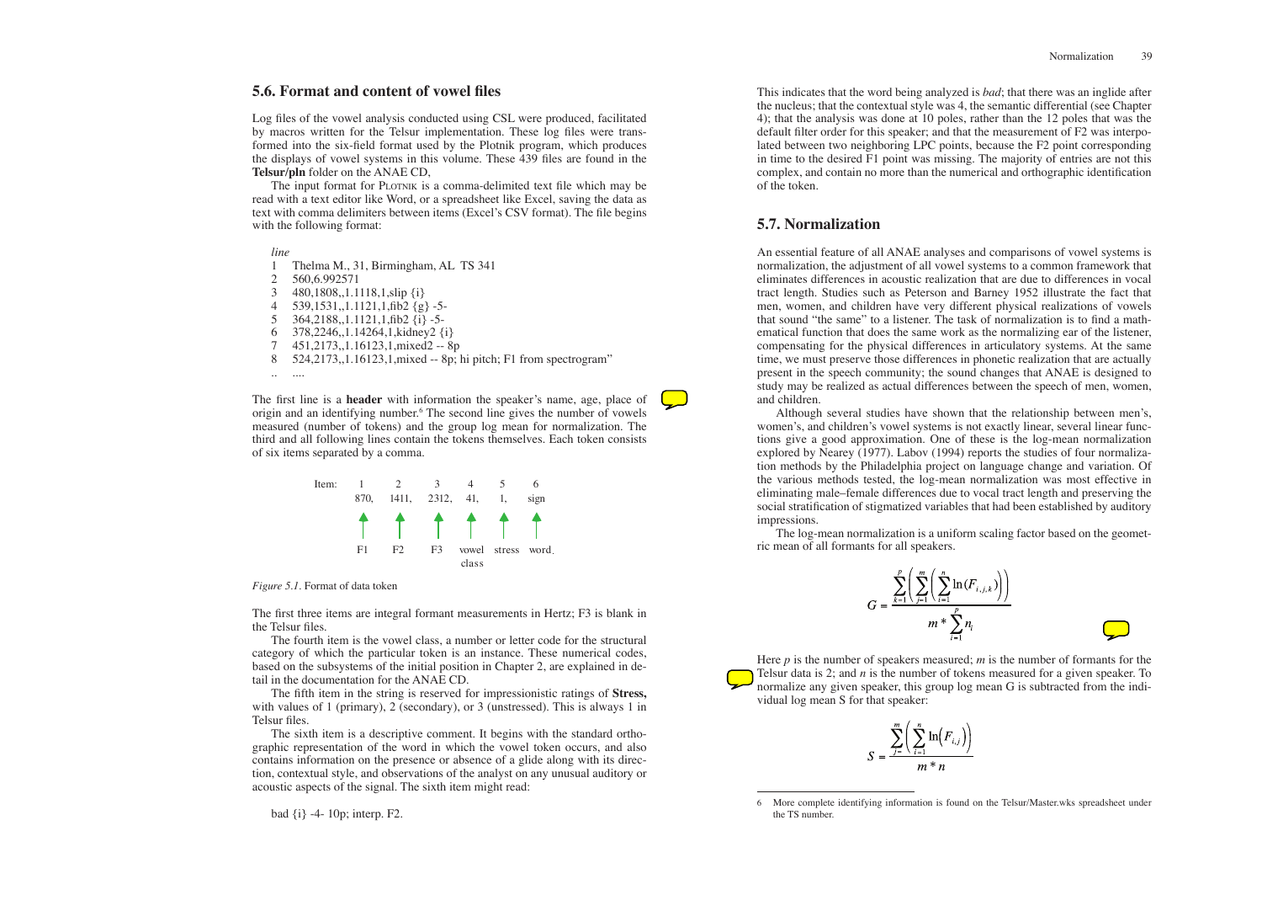### **5.6. Format and content of vowel files**

Log files of the vowel analysis conducted using CSL were produced, facilitated by macros written for the Telsur implementation. These log files were transformed into the six-field format used by the Plotnik program, which produces the displays of vowel systems in this volume. These 439 files are found in the **Telsur/pln** folder on the ANAE CD,

- 1 Thelma M., 31, Birmingham, AL TS 341<br>2 560,6.992571
- 
- 2 560,6.992571<br>3 480,1808,1.1
- 3 480,1808,,1.1118,1,slip {i}<br>4 539,1531,,1.1121,1,fib2 {g}
- 4 539,1531,,1.1121,1,fib2  $\{g\}$  -5-<br>5 364 2188 1.1121 1 fib2  $\{i\}$  -5-
- 5 364,2188,,1.1121,1,fib2  $\{i\}$  -5-<br>6 378,2246,,1.14264,1.kidney2  $\{i\}$
- 6 378,2246,,1.14264,1,kidney2  $\{i\}$ <br>7 451.2173..1.16123.1.mixed2 -- 8
- 7 451,2173,,1.16123,1,mixed2 -- 8p<br>8 524,2173,.1.16123,1,mixed -- 8p;1 8 524,2173,,1.16123,1,mixed -- 8p; hi pitch; F1 from spectrogram"

The input format for PLOTNIK is a comma-delimited text file which may be read with a text editor like Word, or a spreadsheet like Excel, saving the data as text with comma delimiters between items (Excel's CSV format). The file begins with the following format:

*line*

.. ....

The first line is a **header** with information the speaker's name, age, place of origin and an identifying number.6 The second line gives the number of vowels measured (number of tokens) and the group log mean for normalization. The third and all following lines contain the tokens themselves. Each token consists of six items separated by a comma.

The first three items are integral formant measurements in Hertz; F3 is blank in the Telsur files.

The fourth item is the vowel class, a number or letter code for the structural category of which the particular token is an instance. These numerical codes, based on the subsystems of the initial position in Chapter 2, are explained in detail in the documentation for the ANAE CD.

The fifth item in the string is reserved for impressionistic ratings of **Stress,**  with values of 1 (primary), 2 (secondary), or 3 (unstressed). This is always 1 in Telsur files.

The sixth item is a descriptive comment. It begins with the standard orthographic representation of the word in which the vowel token occurs, and also contains information on the presence or absence of a glide along with its direction, contextual style, and observations of the analyst on any unusual auditory or acoustic aspects of the signal. The sixth item might read:

bad {i} -4- 10p; interp. F2.

This indicates that the word being analyzed is *bad*; that there was an inglide after the nucleus; that the contextual style was 4, the semantic differential (see Chapter 4); that the analysis was done at 10 poles, rather than the 12 poles that was the default filter order for this speaker; and that the measurement of F2 was interpolated between two neighboring LPC points, because the F2 point corresponding in time to the desired F1 point was missing. The majority of entries are not this complex, and contain no more than the numerical and orthographic identification of the token.

### **5.7. Normalization**



*Figure 5.1.* Format of data token

An essential feature of all ANAE analyses and comparisons of vowel systems is normalization, the adjustment of all vowel systems to a common framework that eliminates differences in acoustic realization that are due to differences in vocal tract length. Studies such as Peterson and Barney 1952 illustrate the fact that men, women, and children have very different physical realizations of vowels that sound "the same" to a listener. The task of normalization is to find a mathematical function that does the same work as the normalizing ear of the listener, compensating for the physical differences in articulatory systems. At the same time, we must preserve those differences in phonetic realization that are actually present in the speech community; the sound changes that ANAE is designed to study may be realized as actual differences between the speech of men, women, and children.

Although several studies have shown that the relationship between men's, women's, and children's vowel systems is not exactly linear, several linear functions give a good approximation. One of these is the log-mean normalization explored by Nearey (1977). Labov (1994) reports the studies of four normalization methods by the Philadelphia project on language change and variation. Of the various methods tested, the log-mean normalization was most effective in eliminating male–female differences due to vocal tract length and preserving the social stratification of stigmatized variables that had been established by auditory impressions.

The log-mean normalization is a uniform scaling factor based on the geometric mean of all formants for all speakers.

$$
G = \frac{\sum_{k=1}^{p} \left( \sum_{j=1}^{m} \left( \sum_{i=1}^{n} \ln(F_{i,j,k}) \right) \right)}{m * \sum_{i=1}^{p} n_i}
$$

Here *p* is the number of speakers measured; *m* is the number of formants for the Telsur data is 2; and *n* is the number of tokens measured for a given speaker. To normalize any given speaker, this group log mean G is subtracted from the individual log mean S for that speaker:



<sup>6</sup> More complete identifying information is found on the Telsur/Master.wks spreadsheet under the TS number.